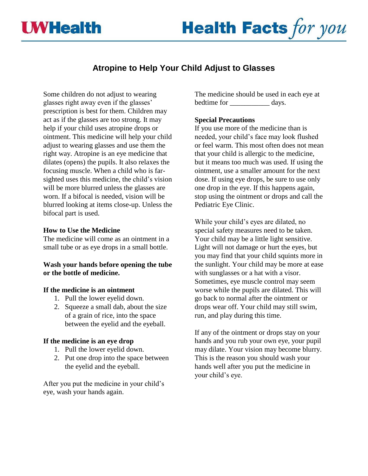



# **Atropine to Help Your Child Adjust to Glasses**

Some children do not adjust to wearing glasses right away even if the glasses' prescription is best for them. Children may act as if the glasses are too strong. It may help if your child uses atropine drops or ointment. This medicine will help your child adjust to wearing glasses and use them the right way. Atropine is an eye medicine that dilates (opens) the pupils. It also relaxes the focusing muscle. When a child who is farsighted uses this medicine, the child's vision will be more blurred unless the glasses are worn. If a bifocal is needed, vision will be blurred looking at items close-up. Unless the bifocal part is used.

### **How to Use the Medicine**

The medicine will come as an ointment in a small tube or as eye drops in a small bottle.

## **Wash your hands before opening the tube or the bottle of medicine.**

### **If the medicine is an ointment**

- 1. Pull the lower eyelid down.
- 2. Squeeze a small dab, about the size of a grain of rice, into the space between the eyelid and the eyeball.

### **If the medicine is an eye drop**

- 1. Pull the lower eyelid down.
- 2. Put one drop into the space between the eyelid and the eyeball.

After you put the medicine in your child's eye, wash your hands again.

The medicine should be used in each eye at bedtime for days.

### **Special Precautions**

If you use more of the medicine than is needed, your child's face may look flushed or feel warm. This most often does not mean that your child is allergic to the medicine, but it means too much was used. If using the ointment, use a smaller amount for the next dose. If using eye drops, be sure to use only one drop in the eye. If this happens again, stop using the ointment or drops and call the Pediatric Eye Clinic.

While your child's eyes are dilated, no special safety measures need to be taken. Your child may be a little light sensitive. Light will not damage or hurt the eyes, but you may find that your child squints more in the sunlight. Your child may be more at ease with sunglasses or a hat with a visor. Sometimes, eye muscle control may seem worse while the pupils are dilated. This will go back to normal after the ointment or drops wear off. Your child may still swim, run, and play during this time.

If any of the ointment or drops stay on your hands and you rub your own eye, your pupil may dilate. Your vision may become blurry. This is the reason you should wash your hands well after you put the medicine in your child's eye.